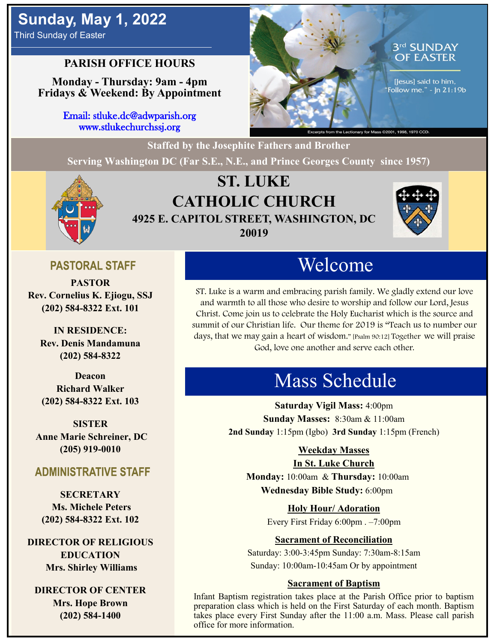# **Sunday, May 1, 2022**

Third Sunday of Easter

### **PARISH OFFICE HOURS**

**Monday - Thursday: 9am - 4pm Fridays & Weekend: By Appointment**

> Email: stluke.dc@adwparish.org www.stlukechurchssj.org



**Staffed by the Josephite Fathers and Brother Serving Washington DC (Far S.E., N.E., and Prince Georges County since 1957)**



## **ST. LUKE CATHOLIC CHURCH 4925 E. CAPITOL STREET, WASHINGTON, DC 20019**



### **PASTORAL STAFF**

**PASTOR Rev. Cornelius K. Ejiogu, SSJ (202) 584-8322 Ext. 101**

**IN RESIDENCE: Rev. Denis Mandamuna (202) 584-8322** 

**Deacon Richard Walker (202) 584-8322 Ext. 103**

**SISTER Anne Marie Schreiner, DC (205) 919-0010**

### **ADMINISTRATIVE STAFF**

**SECRETARY Ms. Michele Peters (202) 584-8322 Ext. 102**

**DIRECTOR OF RELIGIOUS EDUCATION Mrs. Shirley Williams**

**DIRECTOR OF CENTER Mrs. Hope Brown (202) 584-1400**

# Welcome

ST. Luke is a warm and embracing parish family. We gladly extend our love and warmth to all those who desire to worship and follow our Lord, Jesus Christ. Come join us to celebrate the Holy Eucharist which is the source and summit of our Christian life. Our theme for 2019 is "Teach us to number our days, that we may gain a heart of wisdom." [Psalm 90:12] Together we will praise God, love one another and serve each other.

# Mass Schedule

**Saturday Vigil Mass:** 4:00pm **Sunday Masses:** 8:30am & 11:00am **2nd Sunday** 1:15pm (Igbo) **3rd Sunday** 1:15pm (French)

#### **Weekday Masses**

#### **In St. Luke Church**

**Monday:** 10:00am & **Thursday:** 10:00am **Wednesday Bible Study:** 6:00pm

**Holy Hour/ Adoration**

Every First Friday 6:00pm . –7:00pm

#### **Sacrament of Reconciliation**

Saturday: 3:00-3:45pm Sunday: 7:30am-8:15am Sunday: 10:00am-10:45am Or by appointment

#### **Sacrament of Baptism**

Infant Baptism registration takes place at the Parish Office prior to baptism preparation class which is held on the First Saturday of each month. Baptism takes place every First Sunday after the 11:00 a.m. Mass. Please call parish office for more information.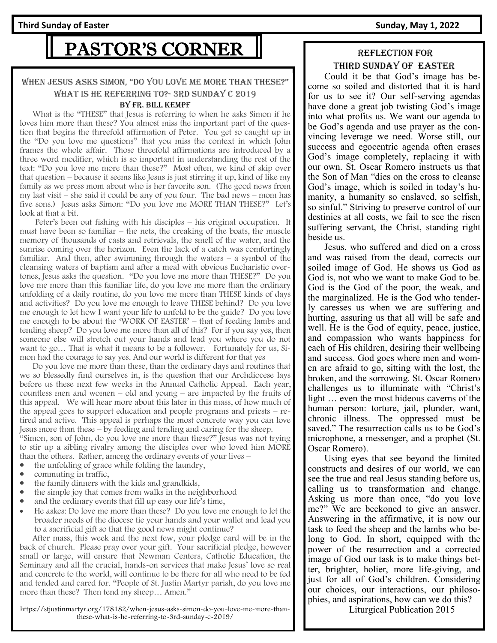# PASTOR'S CORNER

#### WHEN JESUS ASKS SIMON, "DO YOU LOVE ME MORE THAN THESE?" what is he referring to?- 3rd Sunday C 2019

#### By Fr. Bill Kempf

 What is the "THESE" that Jesus is referring to when he asks Simon if he loves him more than these? You almost miss the important part of the question that begins the threefold affirmation of Peter. You get so caught up in the "Do you love me questions" that you miss the context in which John frames the whole affair. Those threefold affirmations are introduced by a three word modifier, which is so important in understanding the rest of the text: "Do you love me more than these?" Most often, we kind of skip over that question – because it seems like Jesus is just stirring it up, kind of like my family as we press mom about who is her favorite son. (The good news from my last visit – she said it could be any of you four. The bad news – mom has five sons.) Jesus asks Simon: "Do you love me MORE THAN THESE?" Let's look at that a bit.

 Peter's been out fishing with his disciples – his original occupation. It must have been so familiar – the nets, the creaking of the boats, the muscle memory of thousands of casts and retrievals, the smell of the water, and the sunrise coming over the horizon. Even the lack of a catch was comfortingly familiar. And then, after swimming through the waters  $-$  a symbol of the cleansing waters of baptism and after a meal with obvious Eucharistic overtones, Jesus asks the question. "Do you love me more than THESE?" Do you love me more than this familiar life, do you love me more than the ordinary unfolding of a daily routine, do you love me more than THESE kinds of days and activities? Do you love me enough to leave THESE behind? Do you love me enough to let how I want your life to unfold to be the guide? Do you love me enough to be about the 'WORK OF EASTER' – that of feeding lambs and tending sheep? Do you love me more than all of this? For if you say yes, then someone else will stretch out your hands and lead you where you do not want to go… That is what it means to be a follower. Fortunately for us, Simon had the courage to say yes. And our world is different for that yes

 Do you love me more than these, than the ordinary days and routines that we so blessedly find ourselves in, is the question that our Archdiocese lays before us these next few weeks in the Annual Catholic Appeal. Each year, countless men and women – old and young – are impacted by the fruits of this appeal. We will hear more about this later in this mass, of how much of the appeal goes to support education and people programs and priests – retired and active. This appeal is perhaps the most concrete way you can love Jesus more than these – by feeding and tending and caring for the sheep. "Simon, son of John, do you love me more than these?" Jesus was not trying to stir up a sibling rivalry among the disciples over who loved him MORE than the others. Rather, among the ordinary events of your lives –

- the unfolding of grace while folding the laundry,
- commuting in traffic,
- the family dinners with the kids and grandkids,
- the simple joy that comes from walks in the neighborhood
- and the ordinary events that fill up easy our life's time,
- He askes: Do love me more than these? Do you love me enough to let the broader needs of the diocese tie your hands and your wallet and lead you to a sacrificial gift so that the good news might continue?

 After mass, this week and the next few, your pledge card will be in the back of church. Please pray over your gift. Your sacrificial pledge, however small or large, will ensure that Newman Centers, Catholic Education, the Seminary and all the crucial, hands-on services that make Jesus' love so real and concrete to the world, will continue to be there for all who need to be fed and tended and cared for. "People of St. Justin Martyr parish, do you love me more than these? Then tend my sheep… Amen."

https://stjustinmartyr.org/178182/when-jesus-asks-simon-do-you-love-me-more-thanthese-what-is-he-referring-to-3rd-sunday-c-2019/

#### Reflection for Third SUNDAY OF easter

 Could it be that God's image has become so soiled and distorted that it is hard for us to see it? Our self-serving agendas have done a great job twisting God's image into what profits us. We want our agenda to be God's agenda and use prayer as the convincing leverage we need. Worse still, our success and egocentric agenda often erases God's image completely, replacing it with our own. St. Oscar Romero instructs us that the Son of Man "dies on the cross to cleanse God's image, which is soiled in today's humanity, a humanity so enslaved, so selfish, so sinful." Striving to preserve control of our destinies at all costs, we fail to see the risen suffering servant, the Christ, standing right beside us.

 Jesus, who suffered and died on a cross and was raised from the dead, corrects our soiled image of God. He shows us God as God is, not who we want to make God to be. God is the God of the poor, the weak, and the marginalized. He is the God who tenderly caresses us when we are suffering and hurting, assuring us that all will be safe and well. He is the God of equity, peace, justice, and compassion who wants happiness for each of His children, desiring their wellbeing and success. God goes where men and women are afraid to go, sitting with the lost, the broken, and the sorrowing. St. Oscar Romero challenges us to illuminate with "Christ's light … even the most hideous caverns of the human person: torture, jail, plunder, want, chronic illness. The oppressed must be saved." The resurrection calls us to be God's microphone, a messenger, and a prophet (St. Oscar Romero).

 Using eyes that see beyond the limited constructs and desires of our world, we can see the true and real Jesus standing before us, calling us to transformation and change. Asking us more than once, "do you love me?" We are beckoned to give an answer. Answering in the affirmative, it is now our task to feed the sheep and the lambs who belong to God. In short, equipped with the power of the resurrection and a corrected image of God our task is to make things better, brighter, holier, more life-giving, and just for all of God's children. Considering our choices, our interactions, our philosophies, and aspirations, how can we do this?

Liturgical Publication 2015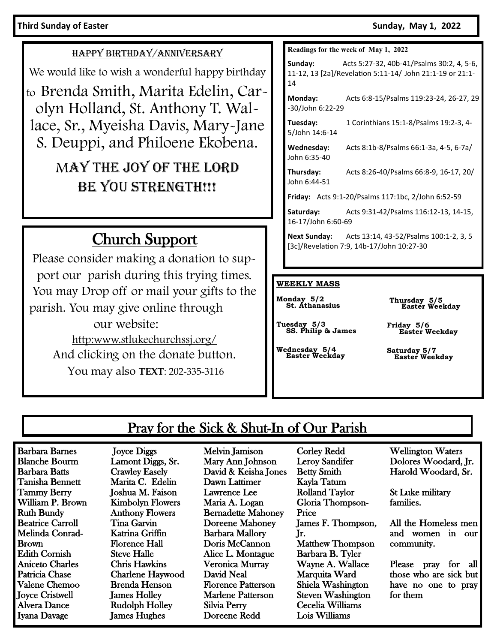#### **Third Sunday of Easter Sunday, May 1, 2022**

#### HAPPY BIRTHDAY/ANNIVERSARY

We would like to wish a wonderful happy birthday

to Brenda Smith, Marita Edelin, Carolyn Holland, St. Anthony T. Wallace, Sr., Myeisha Davis, Mary-Jane S. Deuppi, and Philoene Ekobena.

# MAY THE JOY OF THE LORD BE YOU STRENGTH!!!

# Church Support

Please consider making a donation to support our parish during this trying times. You may Drop off or mail your gifts to the parish. You may give online through our website: http:www.stlukechurchssj.org/ And clicking on the donate button. You may also **TEXT**: 202-335-3116

#### **Readings for the week of May 1, 2022**

**Sunday:** Acts 5:27-32, 40b-41/Psalms 30:2, 4, 5-6, 11-12, 13 [2a]/Revelation 5:11-14/ John 21:1-19 or 21:1- 14

**Monday:** Acts 6:8-15/Psalms 119:23-24, 26-27, 29 -30/John 6:22-29

**Tuesday:** 1 Corinthians 15:1-8/Psalms 19:2-3, 4- 5/John 14:6-14

**Wednesday:** Acts 8:1b-8/Psalms 66:1-3a, 4-5, 6-7a/ John 6:35-40

**Thursday:** Acts 8:26-40/Psalms 66:8-9, 16-17, 20/ John 6:44-51

**Friday:** Acts 9:1-20/Psalms 117:1bc, 2/John 6:52-59

**Saturday:** Acts 9:31-42/Psalms 116:12-13, 14-15, 16-17/John 6:60-69

**Next Sunday:** Acts 13:14, 43-52/Psalms 100:1-2, 3, 5 [3c]/Revelation 7:9, 14b-17/John 10:27-30

#### **WEEKLY MASS**

**Monday 5/2 St. Athanasius**

**Thursday 5/5 Easter Weekday**

**Tuesday 5/3 SS. Philip & James**

**Wednesday 5/4 Easter Weekday**

**Friday 5/6 Easter Weekday**

**Saturday 5/7 Easter Weekday** 

### Pray for the Sick & Shut-In of Our Parish

Barbara Barnes Blanche Bourm Barbara Batts Tanisha Bennett Tammy Berry William P. Brown Ruth Bundy Beatrice Carroll Melinda Conrad-Brown Edith Cornish Aniceto Charles Patricia Chase Valene Chemoo Joyce Cristwell Alvera Dance Iyana Davage

 Joyce Diggs Lamont Diggs, Sr. Crawley Easely Marita C. Edelin Joshua M. Faison Kimbolyn Flowers Anthony Flowers Tina Garvin Katrina Griffin Florence Hall Steve Halle Chris Hawkins Charlene Haywood Brenda Henson James Holley Rudolph Holley James Hughes

Melvin Jamison Mary Ann Johnson David & Keisha Jones Dawn Lattimer Lawrence Lee Maria A. Logan Bernadette Mahoney Doreene Mahoney Barbara Mallory Doris McCannon Alice L. Montague Veronica Murray David Neal Florence Patterson Marlene Patterson Silvia Perry Doreene Redd

Corley Redd Leroy Sandifer Betty Smith Kayla Tatum Rolland Taylor Gloria Thompson-Price James F. Thompson, Jr. Matthew Thompson Barbara B. Tyler Wayne A. Wallace Marquita Ward Shiela Washington Steven Washington Cecelia Williams Lois Williams

Wellington Waters Dolores Woodard, Jr. Harold Woodard, Sr.

St Luke military families.

All the Homeless men and women in our community.

Please pray for all those who are sick but have no one to pray for them